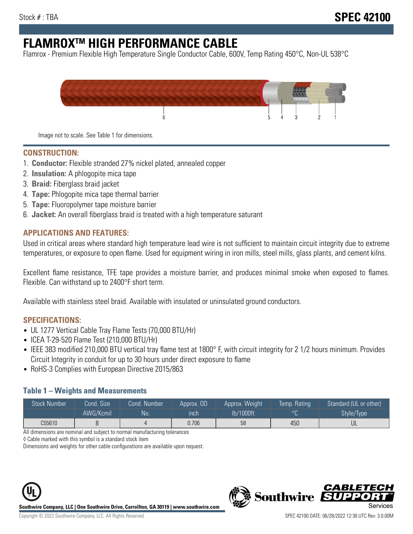# **FLAMROXTM HIGH PERFORMANCE CABLE**

Flamrox - Premium Flexible High Temperature Single Conductor Cable, 600V, Temp Rating 450°C, Non-UL 538°C



Image not to scale. See Table 1 for dimensions.

#### **CONSTRUCTION:**

- 1. **Conductor:** Flexible stranded 27% nickel plated, annealed copper
- 2. **Insulation:** A phlogopite mica tape
- 3. **Braid:** Fiberglass braid jacket
- 4. **Tape:** Phlogopite mica tape thermal barrier
- 5. **Tape:** Fluoropolymer tape moisture barrier
- 6. **Jacket:** An overall fiberglass braid is treated with a high temperature saturant

#### **APPLICATIONS AND FEATURES:**

Used in critical areas where standard high temperature lead wire is not sufficient to maintain circuit integrity due to extreme temperatures, or exposure to open flame. Used for equipment wiring in iron mills, steel mills, glass plants, and cement kilns.

Excellent flame resistance, TFE tape provides a moisture barrier, and produces minimal smoke when exposed to flames. Flexible. Can withstand up to 2400°F short term.

Available with stainless steel braid. Available with insulated or uninsulated ground conductors.

#### **SPECIFICATIONS:**

- UL 1277 Vertical Cable Tray Flame Tests (70,000 BTU/Hr)
- ICEA T-29-520 Flame Test (210,000 BTU/Hr)
- IEEE 383 modified 210,000 BTU vertical tray flame test at 1800° F, with circuit integrity for 2 1/2 hours minimum. Provides Circuit Integrity in conduit for up to 30 hours under direct exposure to flame
- RoHS-3 Complies with European Directive 2015/863

#### **Table 1 – Weights and Measurements**

| <b>Stock Number</b> | Cond. Size | Cond. Number | Approx. OD | Approx. Weight | Temp. Rating | Standard (UL or other) |
|---------------------|------------|--------------|------------|----------------|--------------|------------------------|
|                     | AWG/Kcmil  | <b>No</b>    | inch       | lb/1000ft      | $\circ$      | Style/Type             |
| C55610              |            |              | 0.706      | 58             | 450          | UL                     |

All dimensions are nominal and subject to normal manufacturing tolerances

◊ Cable marked with this symbol is a standard stock item

Dimensions and weights for other cable configurations are available upon request.